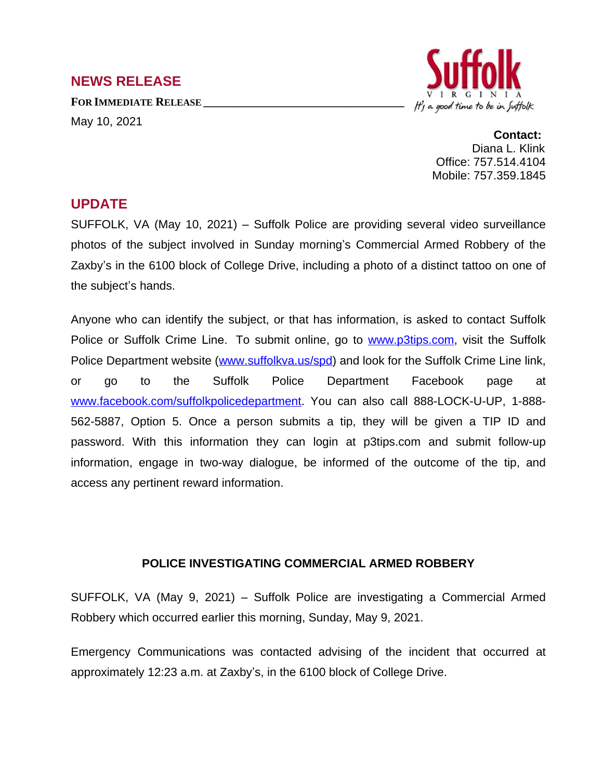## **NEWS RELEASE**

**FOR IMMEDIATE RELEASE \_\_\_\_\_\_\_\_\_\_\_\_\_\_\_\_\_\_\_\_\_\_\_\_\_\_\_\_\_\_\_\_\_\_**

May 10, 2021



**Contact:** Diana L. Klink Office: 757.514.4104 Mobile: 757.359.1845

## **UPDATE**

SUFFOLK, VA (May 10, 2021) – Suffolk Police are providing several video surveillance photos of the subject involved in Sunday morning's Commercial Armed Robbery of the Zaxby's in the 6100 block of College Drive, including a photo of a distinct tattoo on one of the subject's hands.

Anyone who can identify the subject, or that has information, is asked to contact Suffolk Police or Suffolk Crime Line. To submit online, go to [www.p3tips.com](http://www.p3tips.com), visit the Suffolk Police Department website [\(www.suffolkva.us/spd\)](http://www.suffolkva.us/spd) and look for the Suffolk Crime Line link, or go to the Suffolk Police Department Facebook page at [www.facebook.com/suffolkpolicedepartment](http://www.facebook.com/suffolkpolicedepartment). You can also call 888-LOCK-U-UP, 1-888- 562-5887, Option 5. Once a person submits a tip, they will be given a TIP ID and password. With this information they can login at p3tips.com and submit follow-up information, engage in two-way dialogue, be informed of the outcome of the tip, and access any pertinent reward information.

## **POLICE INVESTIGATING COMMERCIAL ARMED ROBBERY**

SUFFOLK, VA (May 9, 2021) – Suffolk Police are investigating a Commercial Armed Robbery which occurred earlier this morning, Sunday, May 9, 2021.

Emergency Communications was contacted advising of the incident that occurred at approximately 12:23 a.m. at Zaxby's, in the 6100 block of College Drive.